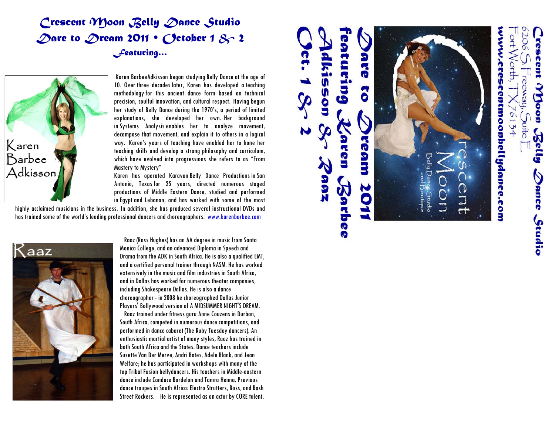# *Crescent Moon Belly Dance Studio Dare to Dream 2011 • October 1 & 2 Featuring…*



Karen BarbeeAdkisson began studying Belly Dance at the age of 10. Over three decades later, Karen has developed a teaching methodologyfor this ancient dance form based on technical precision, soulful innovation, and cultural respect. Having begun her study of Belly Dance during the 1970's, a period of limited explanations, she developed her own. Her background in Systems Analysisenables her to analyze movement, decompose that movement, and explain it to others in a logical way. Karen's years of teaching have enabled her to hone her teaching skills and develop a strong philosophy and curriculum, which have evolved into progressions she refers to as "From Mastery to Mystery"

Karen has operated Karavan Belly Dance Productions in San Antonio, Texas for 25 years, directed numerous staged productions of Middle Eastern Dance, studied and performed in Egypt and Lebanon, and has worked with some of the most

highly acclaimed musicians in the business. In addition, she has produced several instructional DVDs and has trained some of the world's leading professional dancers and choreographers. [www.karenbarbee.com](http://www.karenbarbee.com/)



 Raaz (Ross Hughes) has an AA degree in music from Santa Monica College, and an advanced Diploma in Speech and Drama from the ADK in South Africa. He is also a qualified EMT, and a certified personal trainer through NASM. He has worked extensively in the music and film industries in South Africa, and in Dallas has worked for numerous theater companies, including Shakespeare Dallas. He is also a dance choreographer - in 2008 he choreographed Dallas Junior Players' Bollywood version of A MIDSUMMER NIGHT'S DREAM.

 Raaz trained under fitness guru Anne Couzens in Durban, South Africa, competed in numerous dance competitions, and performed in dance cabaret (The Ruby Tuesday dancers). An enthusiastic martial artist of many styles, Raaz has trained in both South Africa and the States. Dance teachers include Suzette Van Der Merve, Andri Botes, Adele Blank, and Jean Welfare; he has participated in workshops with many of the top Tribal Fusion bellydancers. His teachers in Middle-eastern dance include Candace Bordelon and Tamra Henna. Previous dance troupes in South Africa: Electro Strutters, Boss, and Bash Street Rockers. He is represented as an actor by CORE talent.